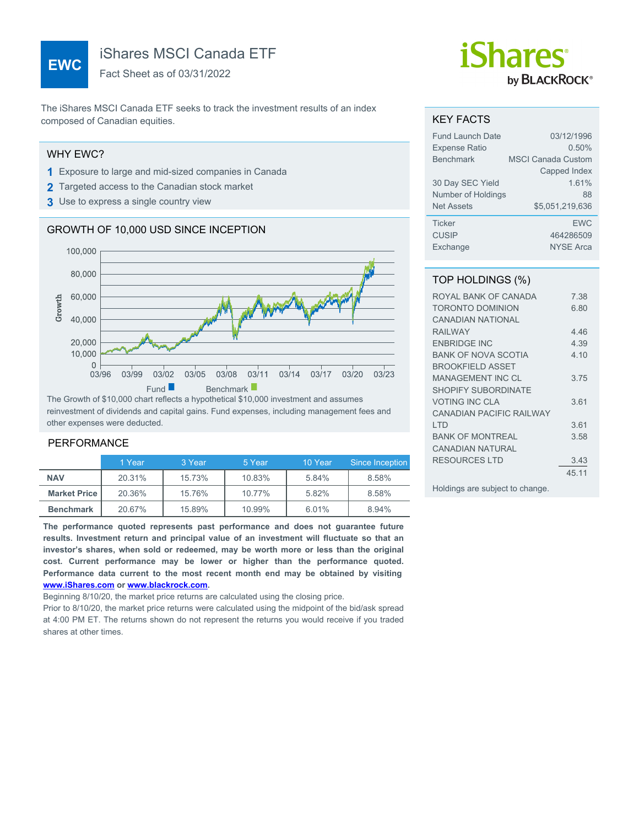## iShares MSCI Canada ETF

Fact Sheet as of 03/31/2022

The iShares MSCI Canada ETF seeks to track the investment results of an index composed of Canadian equities.

#### WHY EWC?

**EWC**

- **1** Exposure to large and mid-sized companies in Canada
- **2** Targeted access to the Canadian stock market
- **3** Use to express a single country view

## GROWTH OF 10,000 USD SINCE INCEPTION



The Growth of \$10,000 chart reflects a hypothetical \$10,000 investment and assumes reinvestment of dividends and capital gains. Fund expenses, including management fees and other expenses were deducted.

#### PERFORMANCE

|                       | 1 Year | 3 Year | 5 Year | 10 Year | Since Inception |
|-----------------------|--------|--------|--------|---------|-----------------|
| <b>NAV</b>            | 20.31% | 15.73% | 10.83% | 5.84%   | 8.58%           |
| <b>Market Price  </b> | 20.36% | 15.76% | 10.77% | 5.82%   | 8.58%           |
| <b>Benchmark</b>      | 20.67% | 15.89% | 10.99% | 6.01%   | 8.94%           |

**The performance quoted represents past performance and does not guarantee future results. Investment return and principal value of an investment will fluctuate so that an investor's shares, when sold or redeemed, may be worth more or less than the original cost. Current performance may be lower or higher than the performance quoted. Performance data current to the most recent month end may be obtained by visiting [www.iShares.com](http://www.iShares.com) or [www.blackrock.com](http://www.blackrock.com).**

Beginning 8/10/20, the market price returns are calculated using the closing price.

Prior to 8/10/20, the market price returns were calculated using the midpoint of the bid/ask spread at 4:00 PM ET. The returns shown do not represent the returns you would receive if you traded shares at other times.

# *iShares* by **BLACKROCK**®

#### KEY FACTS

| Fund Launch Date<br><b>Expense Ratio</b> | 03/12/1996<br>0.50%       |
|------------------------------------------|---------------------------|
| <b>Benchmark</b>                         | <b>MSCI Canada Custom</b> |
|                                          | Capped Index              |
| 30 Day SEC Yield                         | 1.61%                     |
| Number of Holdings                       | 88                        |
| <b>Net Assets</b>                        | \$5,051,219,636           |
| <b>Ticker</b>                            | <b>EWC</b>                |
| <b>CUSIP</b>                             | 464286509                 |
| Exchange                                 | <b>NYSE Arca</b>          |

#### TOP HOLDINGS (%)

| ROYAL BANK OF CANADA       | 7.38  |
|----------------------------|-------|
| <b>TORONTO DOMINION</b>    | 6.80  |
| CANADIAN NATIONAI          |       |
| <b>RAII WAY</b>            | 4 46  |
| <b>ENBRIDGE INC</b>        | 4.39  |
| <b>BANK OF NOVA SCOTIA</b> | 4 1 0 |
| BROOKFIFLD ASSET           |       |
| <b>MANAGEMENT INC CL</b>   | 375   |
| <b>SHOPIFY SUBORDINATE</b> |       |
| <b>VOTING INC CLA</b>      | 3.61  |
| CANADIAN PACIFIC RAILWAY   |       |
| I TD                       | 3.61  |
| <b>BANK OF MONTREAL</b>    | 3.58  |
| CANADIAN NATURAI           |       |
| <b>RESOURCES LTD</b>       | 3.43  |
|                            | 45 11 |

Holdings are subject to change.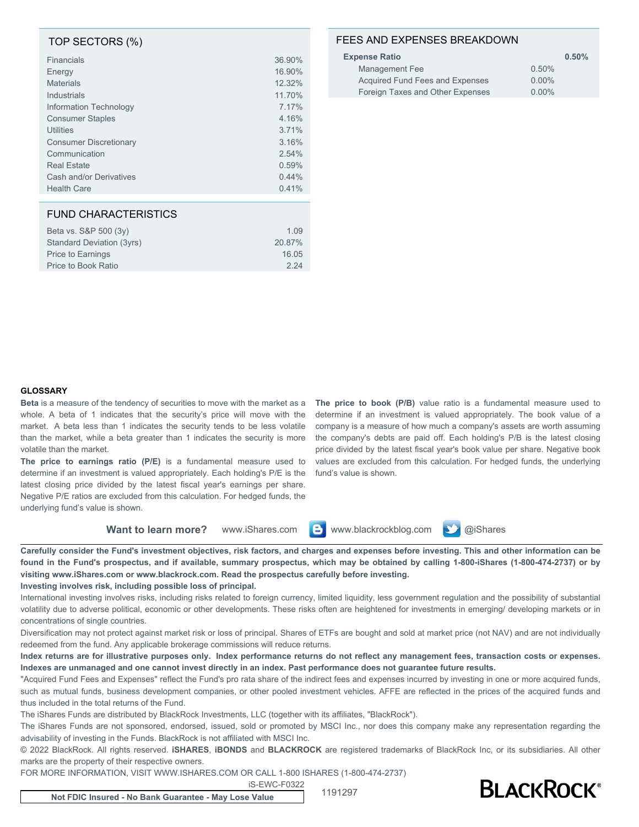#### TOP SECTORS (%)

| Financials                    | 36.90% |
|-------------------------------|--------|
| Energy                        | 16.90% |
| <b>Materials</b>              | 12.32% |
| Industrials                   | 11.70% |
| Information Technology        | 7.17%  |
| <b>Consumer Staples</b>       | 4.16%  |
| <b>Utilities</b>              | 3.71%  |
| <b>Consumer Discretionary</b> | 3.16%  |
| Communication                 | 2.54%  |
| <b>Real Estate</b>            | 0.59%  |
| Cash and/or Derivatives       | 0.44%  |
| <b>Health Care</b>            | 0.41%  |
|                               |        |

#### FUND CHARACTERISTICS

| Beta vs. S&P 500 (3y)     | 1 0 9  |
|---------------------------|--------|
| Standard Deviation (3yrs) | 20.87% |
| <b>Price to Earnings</b>  | 16.05  |
| Price to Book Ratio       | 224    |
|                           |        |

### FEES AND EXPENSES BREAKDOWN

| <b>Expense Ratio</b>             | 0.50%    |
|----------------------------------|----------|
| Management Fee                   | 0.50%    |
| Acquired Fund Fees and Expenses  | $0.00\%$ |
| Foreign Taxes and Other Expenses | $0.00\%$ |

#### **GLOSSARY**

**Beta** is a measure of the tendency of securities to move with the market as a whole. A beta of 1 indicates that the security's price will move with the market. A beta less than 1 indicates the security tends to be less volatile than the market, while a beta greater than 1 indicates the security is more volatile than the market.

**The price to earnings ratio (P/E)** is a fundamental measure used to determine if an investment is valued appropriately. Each holding's P/E is the latest closing price divided by the latest fiscal year's earnings per share. Negative P/E ratios are excluded from this calculation. For hedged funds, the underlying fund's value is shown.

**The price to book (P/B)** value ratio is a fundamental measure used to determine if an investment is valued appropriately. The book value of a company is a measure of how much a company's assets are worth assuming the company's debts are paid off. Each holding's P/B is the latest closing price divided by the latest fiscal year's book value per share. Negative book values are excluded from this calculation. For hedged funds, the underlying fund's value is shown.

**Want to learn more?** www.iShares.com **B** www.blackrockblog.com **W** @iShares



**Carefully consider the Fund's investment objectives, risk factors, and charges and expenses before investing. This and other information can be found in the Fund's prospectus, and if available, summary prospectus, which may be obtained by calling 1-800-iShares (1-800-474-2737) or by visiting www.iShares.com or www.blackrock.com. Read the prospectus carefully before investing.**

#### **Investing involves risk, including possible loss of principal.**

International investing involves risks, including risks related to foreign currency, limited liquidity, less government regulation and the possibility of substantial volatility due to adverse political, economic or other developments. These risks often are heightened for investments in emerging/ developing markets or in concentrations of single countries.

Diversification may not protect against market risk or loss of principal. Shares of ETFs are bought and sold at market price (not NAV) and are not individually redeemed from the fund. Any applicable brokerage commissions will reduce returns.

**Index returns are for illustrative purposes only. Index performance returns do not reflect any management fees, transaction costs or expenses. Indexes are unmanaged and one cannot invest directly in an index. Past performance does not guarantee future results.**

"Acquired Fund Fees and Expenses" reflect the Fund's pro rata share of the indirect fees and expenses incurred by investing in one or more acquired funds, such as mutual funds, business development companies, or other pooled investment vehicles. AFFE are reflected in the prices of the acquired funds and thus included in the total returns of the Fund.

The iShares Funds are distributed by BlackRock Investments, LLC (together with its affiliates, "BlackRock").

The iShares Funds are not sponsored, endorsed, issued, sold or promoted by MSCI Inc., nor does this company make any representation regarding the advisability of investing in the Funds. BlackRock is not affiliated with MSCI Inc.

© 2022 BlackRock. All rights reserved. **iSHARES**, **iBONDS** and **BLACKROCK** are registered trademarks of BlackRock Inc, or its subsidiaries. All other marks are the property of their respective owners.

iS-EWC-F0322

FOR MORE INFORMATION, VISIT WWW.ISHARES.COM OR CALL 1-800 ISHARES (1-800-474-2737)

**BLACKROCK®**